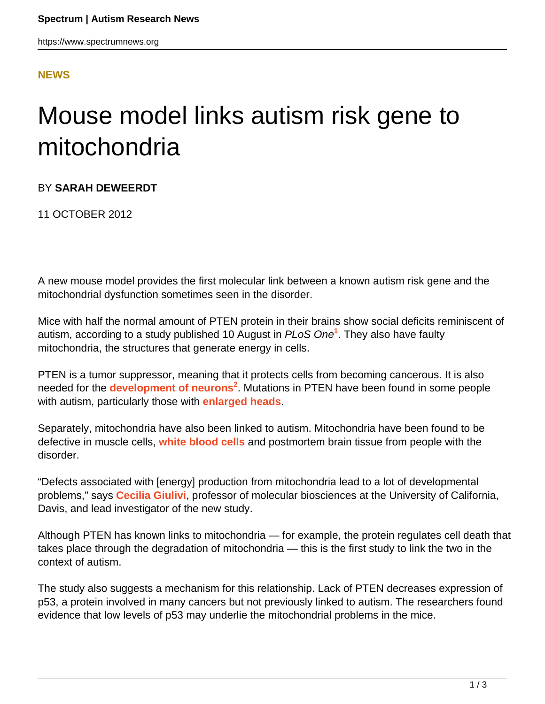### **[NEWS](HTTPS://WWW.SPECTRUMNEWS.ORG/NEWS/)**

# Mouse model links autism risk gene to mitochondria

### BY **SARAH DEWEERDT**

11 OCTOBER 2012

A new mouse model provides the first molecular link between a known autism risk gene and the mitochondrial dysfunction sometimes seen in the disorder.

Mice with half the normal amount of PTEN protein in their brains show social deficits reminiscent of autism, according to a study published 10 August in PLoS One**<sup>1</sup>** . They also have faulty mitochondria, the structures that generate energy in cells.

PTEN is a tumor suppressor, meaning that it protects cells from becoming cancerous. It is also needed for the **[development of neurons](https://www.spectrumnews.org/news/2012/autism-gene-pten-plays-vital-role-in-neural-stem-cells)<sup>2</sup>** . Mutations in PTEN have been found in some people with autism, particularly those with **[enlarged heads](../../../resources/sfari-wiki/macrocephaly)**.

Separately, mitochondria have also been linked to autism. Mitochondria have been found to be defective in muscle cells, **[white blood cells](https://www.spectrumnews.org/news/2010/defects-in-mitochondria-linked-to-autism)** and postmortem brain tissue from people with the disorder.

"Defects associated with [energy] production from mitochondria lead to a lot of developmental problems," says **[Cecilia Giulivi](http://biosci3.ucdavis.edu/FacultyAndResearch/FacultyProfile.aspx?FacultyID=14245)**, professor of molecular biosciences at the University of California, Davis, and lead investigator of the new study.

Although PTEN has known links to mitochondria — for example, the protein regulates cell death that takes place through the degradation of mitochondria — this is the first study to link the two in the context of autism.

The study also suggests a mechanism for this relationship. Lack of PTEN decreases expression of p53, a protein involved in many cancers but not previously linked to autism. The researchers found evidence that low levels of p53 may underlie the mitochondrial problems in the mice.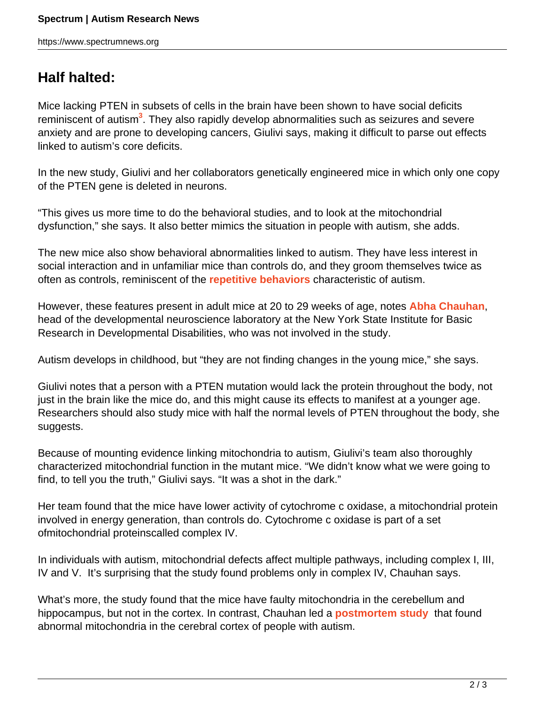## **Half halted:**

Mice lacking PTEN in subsets of cells in the brain have been shown to have social deficits reminiscent of autism<sup>3</sup>. They also rapidly develop abnormalities such as seizures and severe anxiety and are prone to developing cancers, Giulivi says, making it difficult to parse out effects linked to autism's core deficits.

In the new study, Giulivi and her collaborators genetically engineered mice in which only one copy of the PTEN gene is deleted in neurons.

"This gives us more time to do the behavioral studies, and to look at the mitochondrial dysfunction," she says. It also better mimics the situation in people with autism, she adds.

The new mice also show behavioral abnormalities linked to autism. They have less interest in social interaction and in unfamiliar mice than controls do, and they groom themselves twice as often as controls, reminiscent of the **[repetitive behaviors](../../../resources/sfari-wiki/repetitive-behavior)** characteristic of autism.

However, these features present in adult mice at 20 to 29 weeks of age, notes **[Abha Chauhan](http://www3.opwdd.ny.gov/ibr//ibr_neurochemistry_developmental.jsp)**, head of the developmental neuroscience laboratory at the New York State Institute for Basic Research in Developmental Disabilities, who was not involved in the study.

Autism develops in childhood, but "they are not finding changes in the young mice," she says.

Giulivi notes that a person with a PTEN mutation would lack the protein throughout the body, not just in the brain like the mice do, and this might cause its effects to manifest at a younger age. Researchers should also study mice with half the normal levels of PTEN throughout the body, she suggests.

Because of mounting evidence linking mitochondria to autism, Giulivi's team also thoroughly characterized mitochondrial function in the mutant mice. "We didn't know what we were going to find, to tell you the truth," Giulivi says. "It was a shot in the dark."

Her team found that the mice have lower activity of cytochrome c oxidase, a mitochondrial protein involved in energy generation, than controls do. Cytochrome c oxidase is part of a set ofmitochondrial proteinscalled complex IV.

In individuals with autism, mitochondrial defects affect multiple pathways, including complex I, III, IV and V. It's surprising that the study found problems only in complex IV, Chauhan says.

What's more, the study found that the mice have faulty mitochondria in the cerebellum and hippocampus, but not in the cortex. In contrast, Chauhan led a **[postmortem study](https://www.spectrumnews.org/news/2011/mitochondrial-function-disrupted-in-children-with-autism)** that found abnormal mitochondria in the cerebral cortex of people with autism.